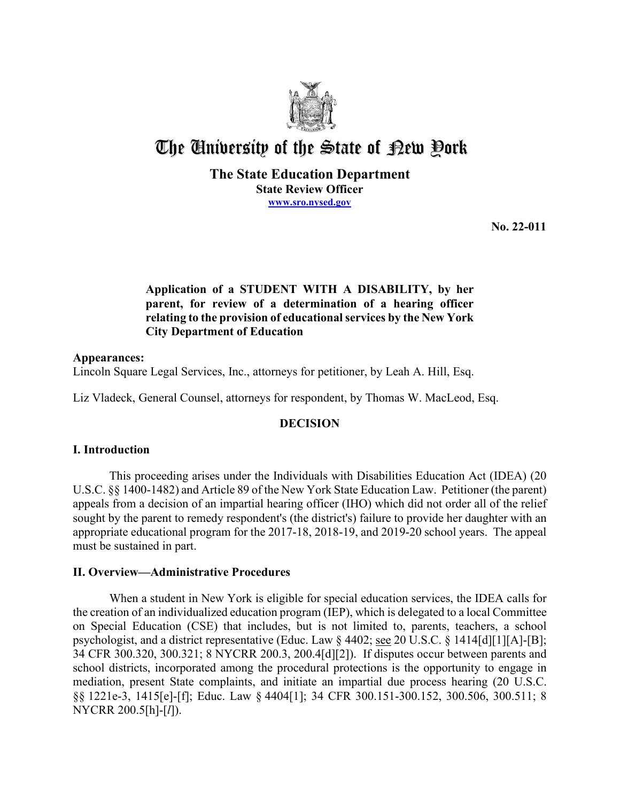

# The University of the State of Pew Pork

### **The State Education Department State Review Officer [www.sro.nysed.gov](http://www.sro.nysed.gov/)**

**No. 22-011** 

# **relating to the provision of educational services by the New York Application of a STUDENT WITH A DISABILITY, by her parent, for review of a determination of a hearing officer City Department of Education**

# **Appearances:**

Lincoln Square Legal Services, Inc., attorneys for petitioner, by Leah A. Hill, Esq.

Liz Vladeck, General Counsel, attorneys for respondent, by Thomas W. MacLeod, Esq.

# **DECISION**

# **I. Introduction**

 appropriate educational program for the 2017-18, 2018-19, and 2019-20 school years. The appeal This proceeding arises under the Individuals with Disabilities Education Act (IDEA) (20 U.S.C. §§ 1400-1482) and Article 89 of the New York State Education Law. Petitioner (the parent) appeals from a decision of an impartial hearing officer (IHO) which did not order all of the relief sought by the parent to remedy respondent's (the district's) failure to provide her daughter with an must be sustained in part.

# **II. Overview—Administrative Procedures**

 the creation of an individualized education program (IEP), which is delegated to a local Committee on Special Education (CSE) that includes, but is not limited to, parents, teachers, a school When a student in New York is eligible for special education services, the IDEA calls for psychologist, and a district representative (Educ. Law § 4402; see 20 U.S.C. § 1414[d][1][A]-[B]; 34 CFR 300.320, 300.321; 8 NYCRR 200.3, 200.4[d][2]). If disputes occur between parents and school districts, incorporated among the procedural protections is the opportunity to engage in mediation, present State complaints, and initiate an impartial due process hearing (20 U.S.C. §§ 1221e-3, 1415[e]-[f]; Educ. Law § 4404[1]; 34 CFR 300.151-300.152, 300.506, 300.511; 8 NYCRR 200.5[h]-[*l*]).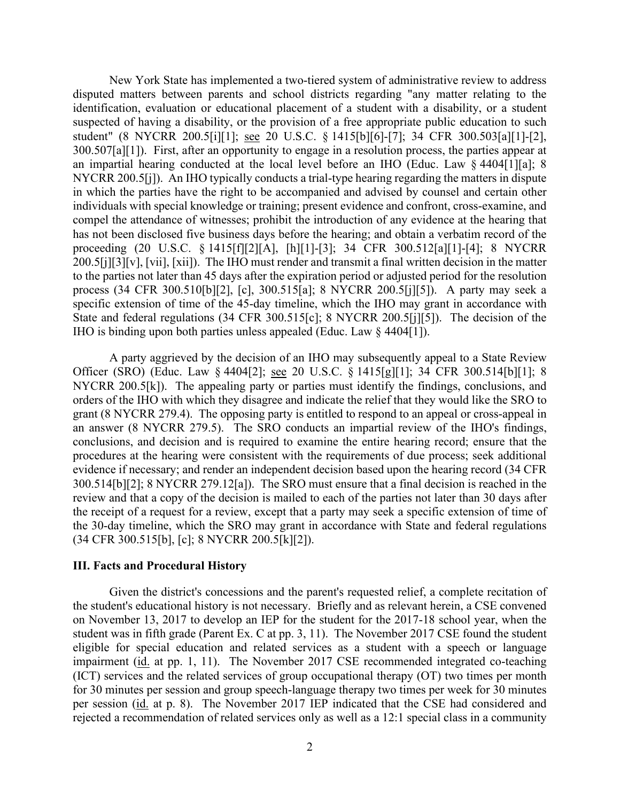New York State has implemented a two-tiered system of administrative review to address disputed matters between parents and school districts regarding "any matter relating to the 300.507[a][1]). First, after an opportunity to engage in a resolution process, the parties appear at NYCRR 200.5[j]). An IHO typically conducts a trial-type hearing regarding the matters in dispute process (34 CFR 300.510[b][2], [c], 300.515[a]; 8 NYCRR 200.5[j][5]). A party may seek a IHO is binding upon both parties unless appealed (Educ. Law § 4404[1]). identification, evaluation or educational placement of a student with a disability, or a student suspected of having a disability, or the provision of a free appropriate public education to such student" (8 NYCRR 200.5[i][1]; see 20 U.S.C. § 1415[b][6]-[7]; 34 CFR 300.503[a][1]-[2], an impartial hearing conducted at the local level before an IHO (Educ. Law § 4404[1][a]; 8 in which the parties have the right to be accompanied and advised by counsel and certain other individuals with special knowledge or training; present evidence and confront, cross-examine, and compel the attendance of witnesses; prohibit the introduction of any evidence at the hearing that has not been disclosed five business days before the hearing; and obtain a verbatim record of the proceeding (20 U.S.C. § 1415[f][2][A], [h][1]-[3]; 34 CFR 300.512[a][1]-[4]; 8 NYCRR 200.5[j][3][v], [vii], [xii]). The IHO must render and transmit a final written decision in the matter to the parties not later than 45 days after the expiration period or adjusted period for the resolution specific extension of time of the 45-day timeline, which the IHO may grant in accordance with State and federal regulations (34 CFR 300.515[c]; 8 NYCRR 200.5[j][5]). The decision of the

Officer (SRO) (Educ. Law § 4404[2]; <u>see</u> 20 U.S.C. § 1415[g][1]; 34 CFR 300.514[b][1]; 8 NYCRR 200.5[k]). The appealing party or parties must identify the findings, conclusions, and 300.514[b][2]; 8 NYCRR 279.12[a]). The SRO must ensure that a final decision is reached in the review and that a copy of the decision is mailed to each of the parties not later than 30 days after A party aggrieved by the decision of an IHO may subsequently appeal to a State Review orders of the IHO with which they disagree and indicate the relief that they would like the SRO to grant (8 NYCRR 279.4). The opposing party is entitled to respond to an appeal or cross-appeal in an answer (8 NYCRR 279.5). The SRO conducts an impartial review of the IHO's findings, conclusions, and decision and is required to examine the entire hearing record; ensure that the procedures at the hearing were consistent with the requirements of due process; seek additional evidence if necessary; and render an independent decision based upon the hearing record (34 CFR the receipt of a request for a review, except that a party may seek a specific extension of time of the 30-day timeline, which the SRO may grant in accordance with State and federal regulations (34 CFR 300.515[b], [c]; 8 NYCRR 200.5[k][2]).

### **III. Facts and Procedural History**

 the student's educational history is not necessary. Briefly and as relevant herein, a CSE convened per session (id. at p. 8). The November 2017 IEP indicated that the CSE had considered and Given the district's concessions and the parent's requested relief, a complete recitation of on November 13, 2017 to develop an IEP for the student for the 2017-18 school year, when the student was in fifth grade (Parent Ex. C at pp. 3, 11). The November 2017 CSE found the student eligible for special education and related services as a student with a speech or language impairment (id. at pp. 1, 11). The November 2017 CSE recommended integrated co-teaching (ICT) services and the related services of group occupational therapy (OT) two times per month for 30 minutes per session and group speech-language therapy two times per week for 30 minutes rejected a recommendation of related services only as well as a 12:1 special class in a community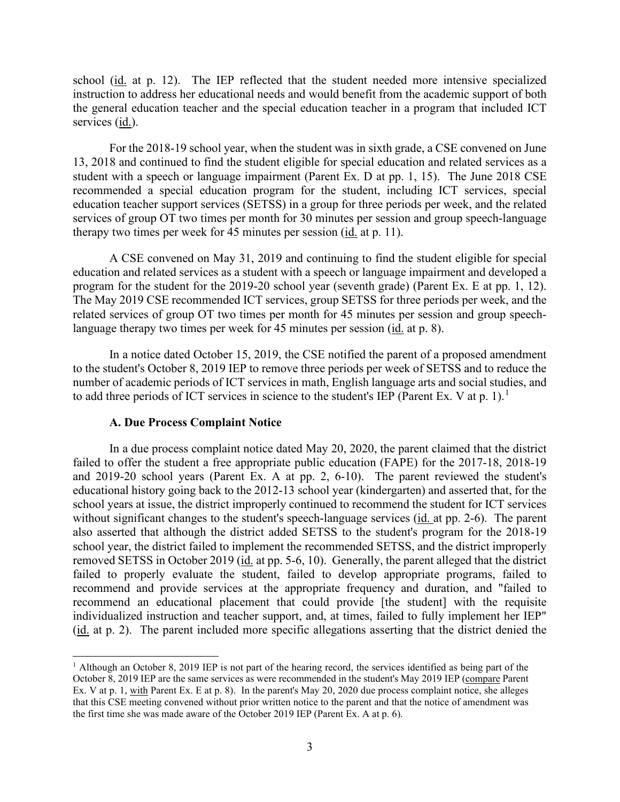school (id. at p. 12). The IEP reflected that the student needed more intensive specialized the general education teacher and the special education teacher in a program that included ICT services (id.). instruction to address her educational needs and would benefit from the academic support of both

 13, 2018 and continued to find the student eligible for special education and related services as a education teacher support services (SETSS) in a group for three periods per week, and the related therapy two times per week for 45 minutes per session  $(id.$  at p. 11). For the 2018-19 school year, when the student was in sixth grade, a CSE convened on June student with a speech or language impairment (Parent Ex. D at pp. 1, 15). The June 2018 CSE recommended a special education program for the student, including ICT services, special services of group OT two times per month for 30 minutes per session and group speech-language

 program for the student for the 2019-20 school year (seventh grade) (Parent Ex. E at pp. 1, 12). language therapy two times per week for 45 minutes per session (*id.* at p. 8). A CSE convened on May 31, 2019 and continuing to find the student eligible for special education and related services as a student with a speech or language impairment and developed a The May 2019 CSE recommended ICT services, group SETSS for three periods per week, and the related services of group OT two times per month for 45 minutes per session and group speech-

In a notice dated October 15, 2019, the CSE notified the parent of a proposed amendment to the student's October 8, 2019 IEP to remove three periods per week of SETSS and to reduce the number of academic periods of ICT services in math, English language arts and social studies, and to add three periods of ICT services in science to the student's IEP (Parent Ex. V at p. 1).<sup>1</sup>

### **A. Due Process Complaint Notice**

 and 2019-20 school years (Parent Ex. A at pp. 2, 6-10). The parent reviewed the student's removed SETSS in October 2019 (id. at pp. 5-6, 10). Generally, the parent alleged that the district individualized instruction and teacher support, and, at times, failed to fully implement her IEP" (id. at p. 2). The parent included more specific allegations asserting that the district denied the In a due process complaint notice dated May 20, 2020, the parent claimed that the district failed to offer the student a free appropriate public education (FAPE) for the 2017-18, 2018-19 educational history going back to the 2012-13 school year (kindergarten) and asserted that, for the school years at issue, the district improperly continued to recommend the student for ICT services without significant changes to the student's speech-language services (id. at pp. 2-6). The parent also asserted that although the district added SETSS to the student's program for the 2018-19 school year, the district failed to implement the recommended SETSS, and the district improperly failed to properly evaluate the student, failed to develop appropriate programs, failed to recommend and provide services at the appropriate frequency and duration, and "failed to recommend an educational placement that could provide [the student] with the requisite

<span id="page-2-0"></span>Ex. V at p. 1, with Parent Ex. E at p. 8). In the parent's May 20, 2020 due process complaint notice, she alleges <sup>1</sup> Although an October 8, 2019 IEP is not part of the hearing record, the services identified as being part of the October 8, 2019 IEP are the same services as were recommended in the student's May 2019 IEP (compare Parent that this CSE meeting convened without prior written notice to the parent and that the notice of amendment was the first time she was made aware of the October 2019 IEP (Parent Ex. A at p. 6).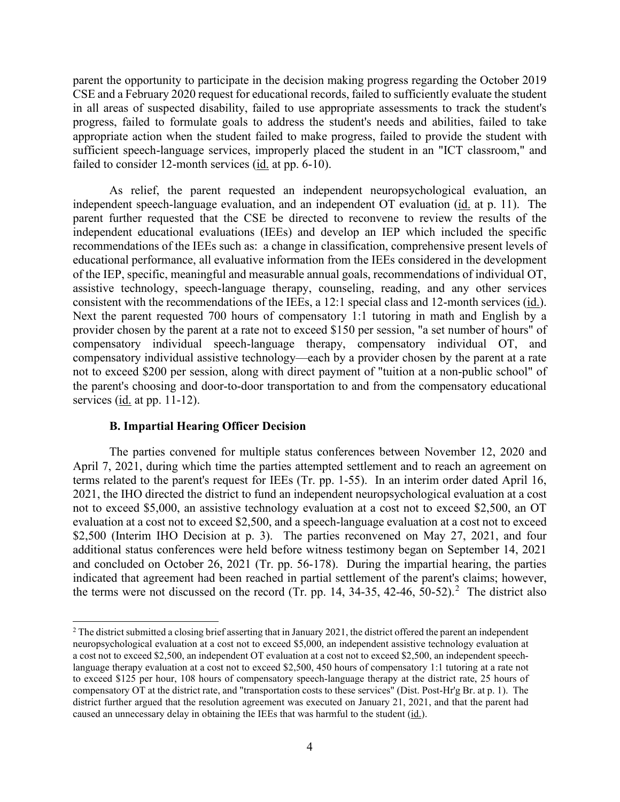failed to consider 12-month services  $(id. at pp. 6-10)$ . parent the opportunity to participate in the decision making progress regarding the October 2019 CSE and a February 2020 request for educational records, failed to sufficiently evaluate the student in all areas of suspected disability, failed to use appropriate assessments to track the student's progress, failed to formulate goals to address the student's needs and abilities, failed to take appropriate action when the student failed to make progress, failed to provide the student with sufficient speech-language services, improperly placed the student in an "ICT classroom," and

 educational performance, all evaluative information from the IEEs considered in the development compensatory individual speech-language therapy, compensatory individual OT, and compensatory individual assistive technology—each by a provider chosen by the parent at a rate As relief, the parent requested an independent neuropsychological evaluation, an independent speech-language evaluation, and an independent OT evaluation (id. at p. 11). The parent further requested that the CSE be directed to reconvene to review the results of the independent educational evaluations (IEEs) and develop an IEP which included the specific recommendations of the IEEs such as: a change in classification, comprehensive present levels of of the IEP, specific, meaningful and measurable annual goals, recommendations of individual OT, assistive technology, speech-language therapy, counseling, reading, and any other services consistent with the recommendations of the IEEs, a 12:1 special class and 12-month services (id.). Next the parent requested 700 hours of compensatory 1:1 tutoring in math and English by a provider chosen by the parent at a rate not to exceed \$150 per session, "a set number of hours" of not to exceed \$200 per session, along with direct payment of "tuition at a non-public school" of the parent's choosing and door-to-door transportation to and from the compensatory educational services (id. at pp. 11-12).

### **B. Impartial Hearing Officer Decision**

 terms related to the parent's request for IEEs (Tr. pp. 1-55). In an interim order dated April 16, \$2,500 (Interim IHO Decision at p. 3). The parties reconvened on May 27, 2021, and four indicated that agreement had been reached in partial settlement of the parent's claims; however, the terms were not discussed on the record (Tr. pp. 14, 34-35, 42-46, 50-52).<sup>2</sup> The district also The parties convened for multiple status conferences between November 12, 2020 and April 7, 2021, during which time the parties attempted settlement and to reach an agreement on 2021, the IHO directed the district to fund an independent neuropsychological evaluation at a cost not to exceed \$5,000, an assistive technology evaluation at a cost not to exceed \$2,500, an OT evaluation at a cost not to exceed \$2,500, and a speech-language evaluation at a cost not to exceed additional status conferences were held before witness testimony began on September 14, 2021 and concluded on October 26, 2021 (Tr. pp. 56-178). During the impartial hearing, the parties

<span id="page-3-0"></span> compensatory OT at the district rate, and "transportation costs to these services" (Dist. Post-Hr'g Br. at p. 1). The caused an unnecessary delay in obtaining the IEEs that was harmful to the student (id.).  $2$  The district submitted a closing brief asserting that in January 2021, the district offered the parent an independent neuropsychological evaluation at a cost not to exceed \$5,000, an independent assistive technology evaluation at a cost not to exceed \$2,500, an independent OT evaluation at a cost not to exceed \$2,500, an independent speechlanguage therapy evaluation at a cost not to exceed \$2,500, 450 hours of compensatory 1:1 tutoring at a rate not to exceed \$125 per hour, 108 hours of compensatory speech-language therapy at the district rate, 25 hours of district further argued that the resolution agreement was executed on January 21, 2021, and that the parent had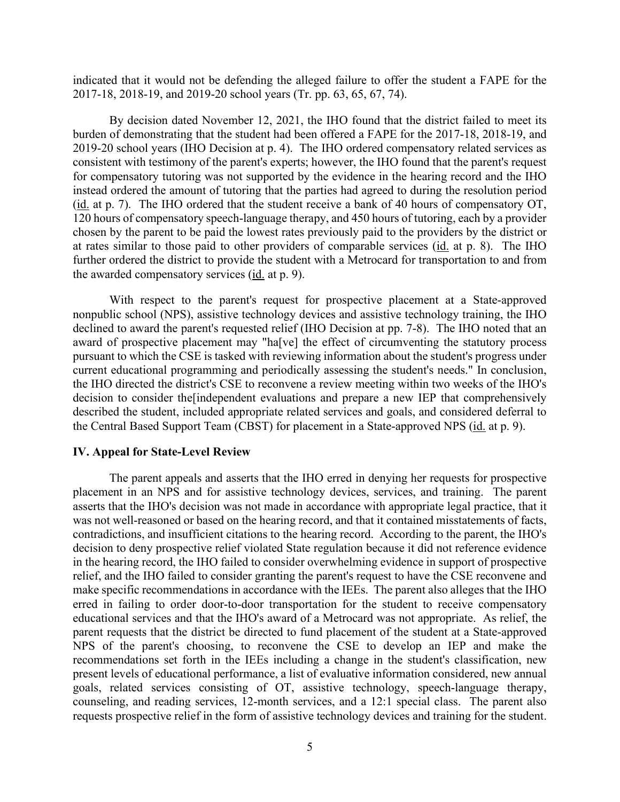indicated that it would not be defending the alleged failure to offer the student a FAPE for the 2017-18, 2018-19, and 2019-20 school years (Tr. pp. 63, 65, 67, 74).

 By decision dated November 12, 2021, the IHO found that the district failed to meet its 2019-20 school years (IHO Decision at p. 4). The IHO ordered compensatory related services as instead ordered the amount of tutoring that the parties had agreed to during the resolution period (id. at p. 7). The IHO ordered that the student receive a bank of 40 hours of compensatory OT, at rates similar to those paid to other providers of comparable services (id. at p. 8). The IHO the awarded compensatory services (*id.* at p. 9). burden of demonstrating that the student had been offered a FAPE for the 2017-18, 2018-19, and consistent with testimony of the parent's experts; however, the IHO found that the parent's request for compensatory tutoring was not supported by the evidence in the hearing record and the IHO 120 hours of compensatory speech-language therapy, and 450 hours of tutoring, each by a provider chosen by the parent to be paid the lowest rates previously paid to the providers by the district or further ordered the district to provide the student with a Metrocard for transportation to and from

 declined to award the parent's requested relief (IHO Decision at pp. 7-8). The IHO noted that an award of prospective placement may "ha[ve] the effect of circumventing the statutory process current educational programming and periodically assessing the student's needs." In conclusion, the IHO directed the district's CSE to reconvene a review meeting within two weeks of the IHO's decision to consider the[independent evaluations and prepare a new IEP that comprehensively the Central Based Support Team (CBST) for placement in a State-approved NPS (id. at p. 9). With respect to the parent's request for prospective placement at a State-approved nonpublic school (NPS), assistive technology devices and assistive technology training, the IHO pursuant to which the CSE is tasked with reviewing information about the student's progress under described the student, included appropriate related services and goals, and considered deferral to

### **IV. Appeal for State-Level Review**

 The parent appeals and asserts that the IHO erred in denying her requests for prospective placement in an NPS and for assistive technology devices, services, and training. The parent contradictions, and insufficient citations to the hearing record. According to the parent, the IHO's relief, and the IHO failed to consider granting the parent's request to have the CSE reconvene and make specific recommendations in accordance with the IEEs. The parent also alleges that the IHO educational services and that the IHO's award of a Metrocard was not appropriate. As relief, the requests prospective relief in the form of assistive technology devices and training for the student.<br>5 asserts that the IHO's decision was not made in accordance with appropriate legal practice, that it was not well-reasoned or based on the hearing record, and that it contained misstatements of facts, decision to deny prospective relief violated State regulation because it did not reference evidence in the hearing record, the IHO failed to consider overwhelming evidence in support of prospective erred in failing to order door-to-door transportation for the student to receive compensatory parent requests that the district be directed to fund placement of the student at a State-approved NPS of the parent's choosing, to reconvene the CSE to develop an IEP and make the recommendations set forth in the IEEs including a change in the student's classification, new present levels of educational performance, a list of evaluative information considered, new annual goals, related services consisting of OT, assistive technology, speech-language therapy, counseling, and reading services, 12-month services, and a 12:1 special class. The parent also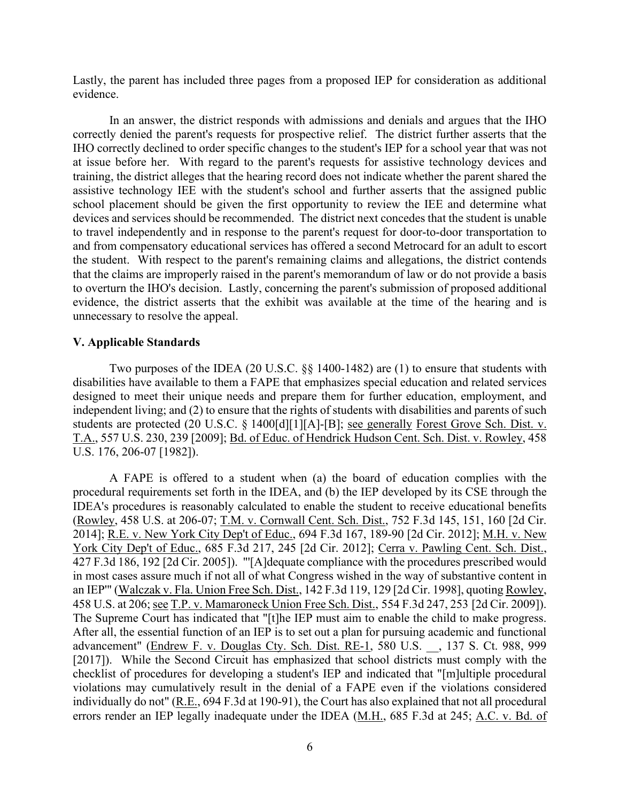Lastly, the parent has included three pages from a proposed IEP for consideration as additional evidence.

 In an answer, the district responds with admissions and denials and argues that the IHO at issue before her. With regard to the parent's requests for assistive technology devices and devices and services should be recommended. The district next concedes that the student is unable correctly denied the parent's requests for prospective relief. The district further asserts that the IHO correctly declined to order specific changes to the student's IEP for a school year that was not training, the district alleges that the hearing record does not indicate whether the parent shared the assistive technology IEE with the student's school and further asserts that the assigned public school placement should be given the first opportunity to review the IEE and determine what to travel independently and in response to the parent's request for door-to-door transportation to and from compensatory educational services has offered a second Metrocard for an adult to escort the student. With respect to the parent's remaining claims and allegations, the district contends that the claims are improperly raised in the parent's memorandum of law or do not provide a basis to overturn the IHO's decision. Lastly, concerning the parent's submission of proposed additional evidence, the district asserts that the exhibit was available at the time of the hearing and is unnecessary to resolve the appeal.

### **V. Applicable Standards**

Two purposes of the IDEA (20 U.S.C. §§ 1400-1482) are (1) to ensure that students with disabilities have available to them a FAPE that emphasizes special education and related services designed to meet their unique needs and prepare them for further education, employment, and independent living; and (2) to ensure that the rights of students with disabilities and parents of such students are protected (20 U.S.C. § 1400[d][1][A]-[B]; see generally Forest Grove Sch. Dist. v. T.A., 557 U.S. 230, 239 [2009]; Bd. of Educ. of Hendrick Hudson Cent. Sch. Dist. v. Rowley, 458 U.S. 176, 206-07 [1982]).

 A FAPE is offered to a student when (a) the board of education complies with the 2014]; <u>R.E. v. New York City Dep't of Educ.</u>, 694 F.3d 167, 189-90 [2d Cir. 2012]; <u>M.H. v. New</u> 458 U.S. at 206; see T.P. v. Mamaroneck Union Free Sch. Dist., 554 F.3d 247, 253 [2d Cir. 2009]). 458 U.S. at 206; <u>see T.P. v. Mamaroneck Union Free Sch. Dist.</u>, 554 F.3d 247, 253 [2d Cir. 2009]). The Supreme Court has indicated that "[t]he IEP must aim to enable the child to make progress. errors render an IEP legally inadequate under the IDEA (M.H., 685 F.3d at 245; A.C. v. Bd. of procedural requirements set forth in the IDEA, and (b) the IEP developed by its CSE through the IDEA's procedures is reasonably calculated to enable the student to receive educational benefits (Rowley, 458 U.S. at 206-07; T.M. v. Cornwall Cent. Sch. Dist., 752 F.3d 145, 151, 160 [2d Cir. York City Dep't of Educ., 685 F.3d 217, 245 [2d Cir. 2012]; Cerra v. Pawling Cent. Sch. Dist., 427 F.3d 186, 192 [2d Cir. 2005]). "'[A]dequate compliance with the procedures prescribed would in most cases assure much if not all of what Congress wished in the way of substantive content in an IEP"" (Walczak v. Fla. Union Free Sch. Dist., 142 F.3d 119, 129 [2d Cir. 1998], quoting Rowley, After all, the essential function of an IEP is to set out a plan for pursuing academic and functional advancement" (Endrew F. v. Douglas Cty. Sch. Dist. RE-1, 580 U.S. \_\_, 137 S. Ct. 988, 999 [2017]). While the Second Circuit has emphasized that school districts must comply with the checklist of procedures for developing a student's IEP and indicated that "[m]ultiple procedural violations may cumulatively result in the denial of a FAPE even if the violations considered individually do not" (R.E., 694 F.3d at 190-91), the Court has also explained that not all procedural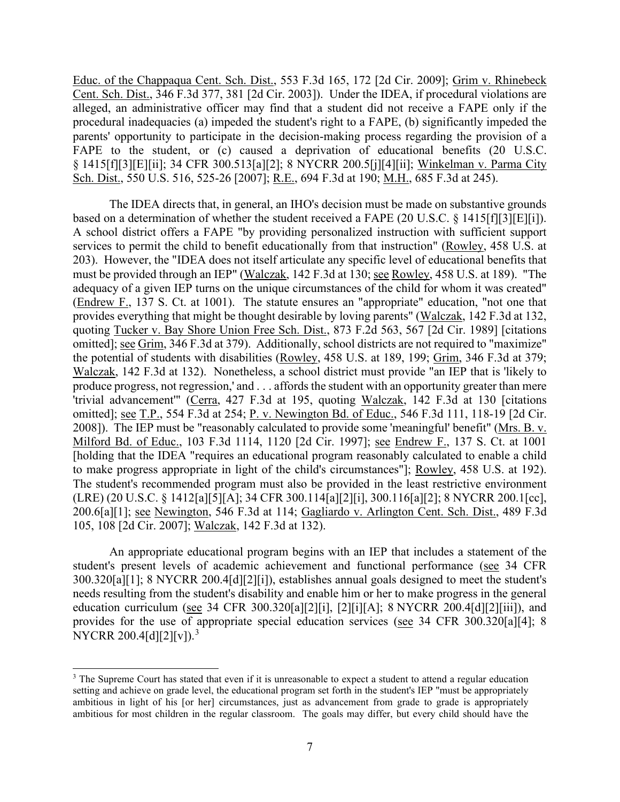parents' opportunity to participate in the decision-making process regarding the provision of a Educ. of the Chappaqua Cent. Sch. Dist., 553 F.3d 165, 172 [2d Cir. 2009]; Grim v. Rhinebeck Cent. Sch. Dist., 346 F.3d 377, 381 [2d Cir. 2003]). Under the IDEA, if procedural violations are alleged, an administrative officer may find that a student did not receive a FAPE only if the procedural inadequacies (a) impeded the student's right to a FAPE, (b) significantly impeded the FAPE to the student, or (c) caused a deprivation of educational benefits (20 U.S.C. § 1415[f][3][E][ii]; 34 CFR 300.513[a][2]; 8 NYCRR 200.5[j][4][ii]; Winkelman v. Parma City Sch. Dist., 550 U.S. 516, 525-26 [2007]; R.E., 694 F.3d at 190; M.H., 685 F.3d at 245).

based on a determination of whether the student received a FAPE (20 U.S.C. § 1415[f][3][E][i]). adequacy of a given IEP turns on the unique circumstances of the child for whom it was created" produce progress, not regression,' and . . . affords the student with an opportunity greater than mere 200.6[a][1]; <u>see Newington,</u> 546 F.3d at 114; Gagliardo v. Arlington Cent. Sch. Dist., 489 F.3d 105, 108 [2d Cir. 2007]; Walczak, 142 F.3d at 132). The IDEA directs that, in general, an IHO's decision must be made on substantive grounds A school district offers a FAPE "by providing personalized instruction with sufficient support services to permit the child to benefit educationally from that instruction" (Rowley, 458 U.S. at 203). However, the "IDEA does not itself articulate any specific level of educational benefits that must be provided through an IEP" (Walczak, 142 F.3d at 130; see Rowley, 458 U.S. at 189). "The (Endrew F., 137 S. Ct. at 1001). The statute ensures an "appropriate" education, "not one that provides everything that might be thought desirable by loving parents" (Walczak, 142 F.3d at 132, quoting Tucker v. Bay Shore Union Free Sch. Dist., 873 F.2d 563, 567 [2d Cir. 1989] [citations omitted]; see Grim, 346 F.3d at 379). Additionally, school districts are not required to "maximize" the potential of students with disabilities (Rowley, 458 U.S. at 189, 199; Grim, 346 F.3d at 379; Walczak, 142 F.3d at 132). Nonetheless, a school district must provide "an IEP that is 'likely to 'trivial advancement'" (Cerra, 427 F.3d at 195, quoting Walczak, 142 F.3d at 130 [citations omitted]; see T.P., 554 F.3d at 254; P. v. Newington Bd. of Educ., 546 F.3d 111, 118-19 [2d Cir. 2008]). The IEP must be "reasonably calculated to provide some 'meaningful' benefit" (Mrs. B. v. Milford Bd. of Educ., 103 F.3d 1114, 1120 [2d Cir. 1997]; see Endrew F., 137 S. Ct. at 1001 [holding that the IDEA "requires an educational program reasonably calculated to enable a child to make progress appropriate in light of the child's circumstances"]; Rowley, 458 U.S. at 192). The student's recommended program must also be provided in the least restrictive environment (LRE) (20 U.S.C. § 1412[a][5][A]; 34 CFR 300.114[a][2][i], 300.116[a][2]; 8 NYCRR 200.1[cc],

provides for the use of appropriate special education services (see 34 CFR 300.320[a][4]; 8 An appropriate educational program begins with an IEP that includes a statement of the student's present levels of academic achievement and functional performance (see 34 CFR 300.320[a][1]; 8 NYCRR 200.4[d][2][i]), establishes annual goals designed to meet the student's needs resulting from the student's disability and enable him or her to make progress in the general education curriculum (see 34 CFR 300.320[a][2][i], [2][i][A]; 8 NYCRR 200.4[d][2][iii]), and NYCRR 200.4[d][2][v]).<sup>3</sup>

<span id="page-6-0"></span> ambitious in light of his [or her] circumstances, just as advancement from grade to grade is appropriately  $3$  The Supreme Court has stated that even if it is unreasonable to expect a student to attend a regular education setting and achieve on grade level, the educational program set forth in the student's IEP "must be appropriately ambitious for most children in the regular classroom. The goals may differ, but every child should have the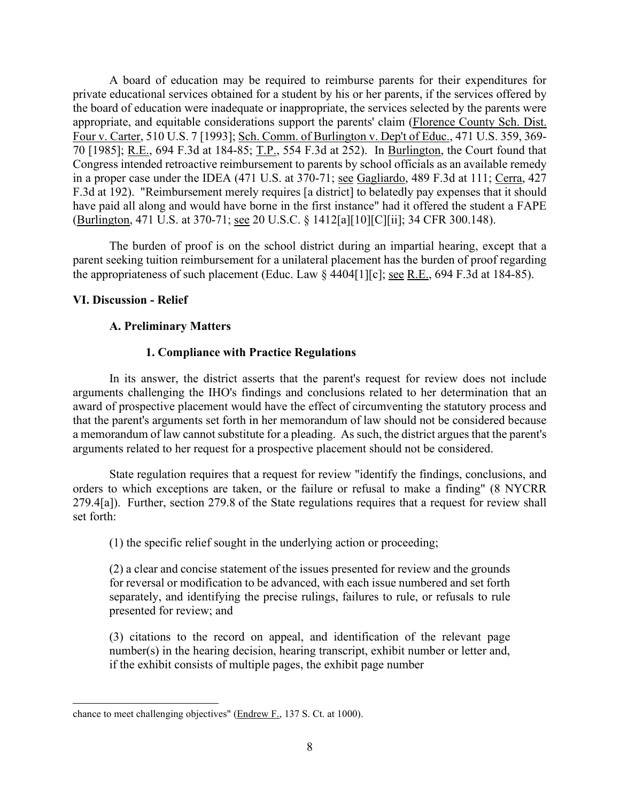70 [1985]; R.E., 694 F.3d at 184-85; T.P., 554 F.3d at 252). In Burlington, the Court found that in a proper case under the IDEA (471 U.S. at 370-71; see Gagliardo, 489 F.3d at 111; Cerra, 427 (Burlington, 471 U.S. at 370-71; <u>see</u> 20 U.S.C. § 1412[a][10][C][ii]; 34 CFR 300.148). A board of education may be required to reimburse parents for their expenditures for private educational services obtained for a student by his or her parents, if the services offered by the board of education were inadequate or inappropriate, the services selected by the parents were appropriate, and equitable considerations support the parents' claim (Florence County Sch. Dist. Four v. Carter, 510 U.S. 7 [1993]; Sch. Comm. of Burlington v. Dep't of Educ., 471 U.S. 359, 369- Congress intended retroactive reimbursement to parents by school officials as an available remedy F.3d at 192). "Reimbursement merely requires [a district] to belatedly pay expenses that it should have paid all along and would have borne in the first instance" had it offered the student a FAPE

the appropriateness of such placement (Educ. Law  $\S$  4404[1][c]; <u>see R.E.</u>, 694 F.3d at 184-85). The burden of proof is on the school district during an impartial hearing, except that a parent seeking tuition reimbursement for a unilateral placement has the burden of proof regarding

# **VI. Discussion - Relief**

# **A. Preliminary Matters**

# **1. Compliance with Practice Regulations**

 arguments related to her request for a prospective placement should not be considered. In its answer, the district asserts that the parent's request for review does not include arguments challenging the IHO's findings and conclusions related to her determination that an award of prospective placement would have the effect of circumventing the statutory process and that the parent's arguments set forth in her memorandum of law should not be considered because a memorandum of law cannot substitute for a pleading. As such, the district argues that the parent's

 279.4[a]). Further, section 279.8 of the State regulations requires that a request for review shall State regulation requires that a request for review "identify the findings, conclusions, and orders to which exceptions are taken, or the failure or refusal to make a finding" (8 NYCRR set forth:

(1) the specific relief sought in the underlying action or proceeding;

 (2) a clear and concise statement of the issues presented for review and the grounds for reversal or modification to be advanced, with each issue numbered and set forth separately, and identifying the precise rulings, failures to rule, or refusals to rule presented for review; and

(3) citations to the record on appeal, and identification of the relevant page number(s) in the hearing decision, hearing transcript, exhibit number or letter and, if the exhibit consists of multiple pages, the exhibit page number

chance to meet challenging objectives" (Endrew F., 137 S. Ct. at 1000).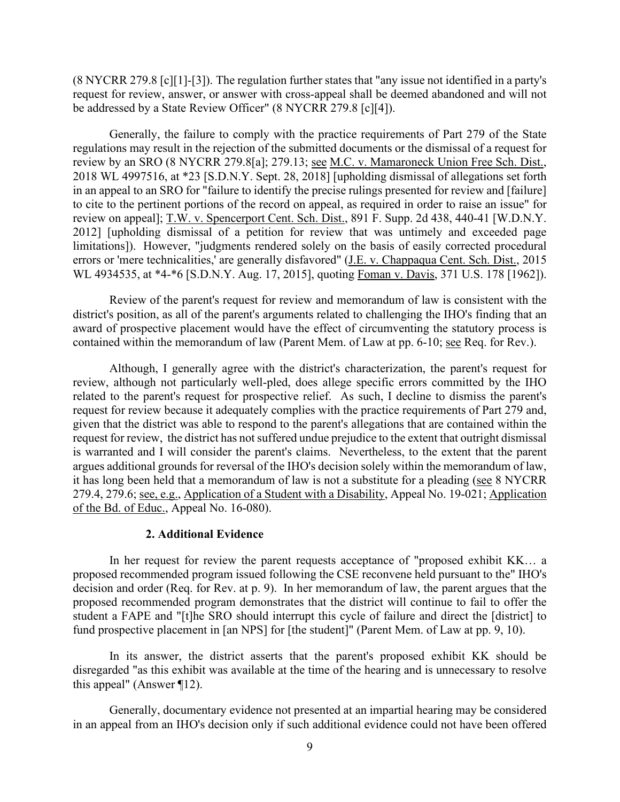(8 NYCRR 279.8 [c][1]-[3]). The regulation further states that "any issue not identified in a party's request for review, answer, or answer with cross-appeal shall be deemed abandoned and will not be addressed by a State Review Officer" (8 NYCRR 279.8 [c][4]).

 Generally, the failure to comply with the practice requirements of Part 279 of the State review by an SRO (8 NYCRR 279.8[a]; 279.13; <u>see M.C. v. Mamaroneck Union Free Sch. Dist.,</u> limitations]). However, "judgments rendered solely on the basis of easily corrected procedural WL 4934535, at \*4-\*6 [S.D.N.Y. Aug. 17, 2015], quoting **Foman v. Davis**, 371 U.S. 178 [1962]). regulations may result in the rejection of the submitted documents or the dismissal of a request for 2018 WL 4997516, at \*23 [S.D.N.Y. Sept. 28, 2018] [upholding dismissal of allegations set forth in an appeal to an SRO for "failure to identify the precise rulings presented for review and [failure] to cite to the pertinent portions of the record on appeal, as required in order to raise an issue" for review on appeal]; T.W. v. Spencerport Cent. Sch. Dist., 891 F. Supp. 2d 438, 440-41 [W.D.N.Y. 2012] [upholding dismissal of a petition for review that was untimely and exceeded page errors or 'mere technicalities,' are generally disfavored" (*J.E. v. Chappaqua Cent. Sch. Dist., 2015* 

contained within the memorandum of law (Parent Mem. of Law at pp. 6-10; see Req. for Rev.). Review of the parent's request for review and memorandum of law is consistent with the district's position, as all of the parent's arguments related to challenging the IHO's finding that an award of prospective placement would have the effect of circumventing the statutory process is

 Although, I generally agree with the district's characterization, the parent's request for related to the parent's request for prospective relief. As such, I decline to dismiss the parent's given that the district was able to respond to the parent's allegations that are contained within the is warranted and I will consider the parent's claims. Nevertheless, to the extent that the parent review, although not particularly well-pled, does allege specific errors committed by the IHO request for review because it adequately complies with the practice requirements of Part 279 and, request for review, the district has not suffered undue prejudice to the extent that outright dismissal argues additional grounds for reversal of the IHO's decision solely within the memorandum of law, it has long been held that a memorandum of law is not a substitute for a pleading (see 8 NYCRR 279.4, 279.6; see, e.g., Application of a Student with a Disability, Appeal No. 19-021; Application of the Bd. of Educ., Appeal No. 16-080).

### **2. Additional Evidence**

 proposed recommended program issued following the CSE reconvene held pursuant to the" IHO's decision and order (Req. for Rev. at p. 9). In her memorandum of law, the parent argues that the In her request for review the parent requests acceptance of "proposed exhibit KK... a proposed recommended program demonstrates that the district will continue to fail to offer the student a FAPE and "[t]he SRO should interrupt this cycle of failure and direct the [district] to fund prospective placement in [an NPS] for [the student]" (Parent Mem. of Law at pp. 9, 10).

In its answer, the district asserts that the parent's proposed exhibit KK should be disregarded "as this exhibit was available at the time of the hearing and is unnecessary to resolve this appeal" (Answer ¶12).

Generally, documentary evidence not presented at an impartial hearing may be considered in an appeal from an IHO's decision only if such additional evidence could not have been offered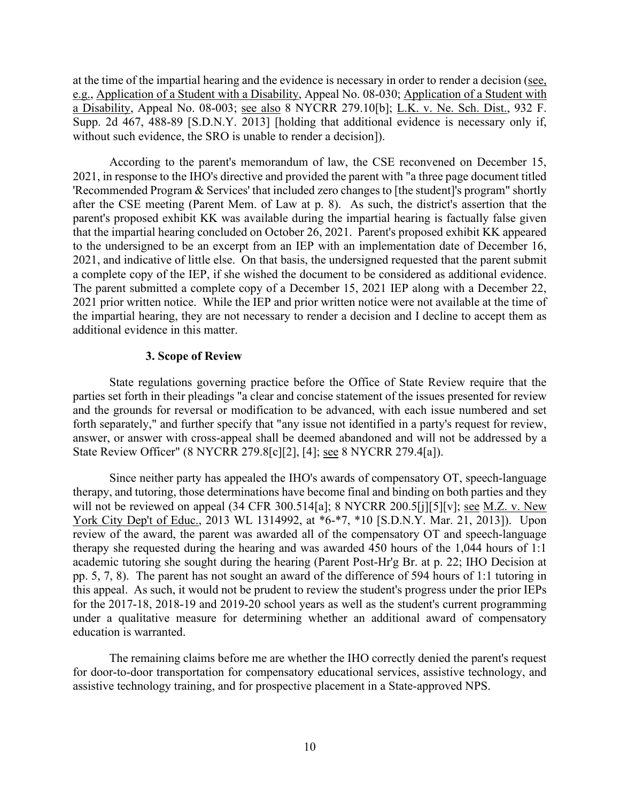a Disability, Appeal No. 08-003; see also 8 NYCRR 279.10[b]; <u>L.K. v. Ne. Sch. Dist.,</u> 932 F. at the time of the impartial hearing and the evidence is necessary in order to render a decision (see, e.g., Application of a Student with a Disability, Appeal No. 08-030; Application of a Student with Supp. 2d 467, 488-89 [S.D.N.Y. 2013] [holding that additional evidence is necessary only if, without such evidence, the SRO is unable to render a decision]).

 According to the parent's memorandum of law, the CSE reconvened on December 15, parent's proposed exhibit KK was available during the impartial hearing is factually false given that the impartial hearing concluded on October 26, 2021. Parent's proposed exhibit KK appeared a complete copy of the IEP, if she wished the document to be considered as additional evidence. 2021, in response to the IHO's directive and provided the parent with "a three page document titled 'Recommended Program & Services' that included zero changes to [the student]'s program" shortly after the CSE meeting (Parent Mem. of Law at p. 8). As such, the district's assertion that the to the undersigned to be an excerpt from an IEP with an implementation date of December 16, 2021, and indicative of little else. On that basis, the undersigned requested that the parent submit The parent submitted a complete copy of a December 15, 2021 IEP along with a December 22, 2021 prior written notice. While the IEP and prior written notice were not available at the time of the impartial hearing, they are not necessary to render a decision and I decline to accept them as additional evidence in this matter.

### **3. Scope of Review**

State regulations governing practice before the Office of State Review require that the parties set forth in their pleadings "a clear and concise statement of the issues presented for review and the grounds for reversal or modification to be advanced, with each issue numbered and set forth separately," and further specify that "any issue not identified in a party's request for review, answer, or answer with cross-appeal shall be deemed abandoned and will not be addressed by a State Review Officer" (8 NYCRR 279.8[c][2], [4]; see 8 NYCRR 279.4[a]).

 Since neither party has appealed the IHO's awards of compensatory OT, speech-language will not be reviewed on appeal (34 CFR 300.514[a]; 8 NYCRR 200.5[j][5][v]; see M.Z. v. New York City Dep't of Educ., 2013 WL 1314992, at \*6-\*7, \*10 [S.D.N.Y. Mar. 21, 2013]). Upon academic tutoring she sought during the hearing (Parent Post-Hr'g Br. at p. 22; IHO Decision at under a qualitative measure for determining whether an additional award of compensatory therapy, and tutoring, those determinations have become final and binding on both parties and they review of the award, the parent was awarded all of the compensatory OT and speech-language therapy she requested during the hearing and was awarded 450 hours of the 1,044 hours of 1:1 pp. 5, 7, 8). The parent has not sought an award of the difference of 594 hours of 1:1 tutoring in this appeal. As such, it would not be prudent to review the student's progress under the prior IEPs for the 2017-18, 2018-19 and 2019-20 school years as well as the student's current programming education is warranted.

The remaining claims before me are whether the IHO correctly denied the parent's request for door-to-door transportation for compensatory educational services, assistive technology, and assistive technology training, and for prospective placement in a State-approved NPS.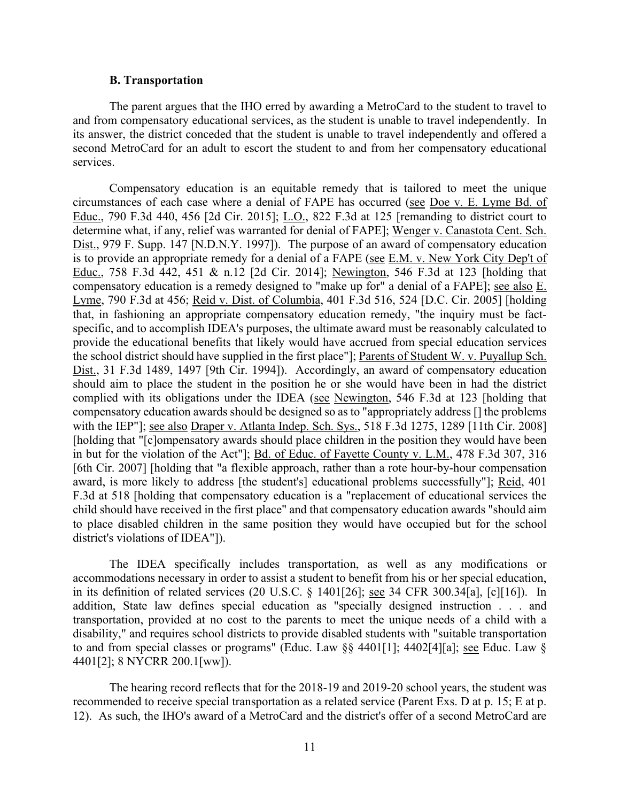#### **B. Transportation**

The parent argues that the IHO erred by awarding a MetroCard to the student to travel to and from compensatory educational services, as the student is unable to travel independently. In its answer, the district conceded that the student is unable to travel independently and offered a second MetroCard for an adult to escort the student to and from her compensatory educational services.

the school district should have supplied in the first place"]; Parents of Student W. v. Puyallup Sch. award, is more likely to address [the student's] educational problems successfully"]; Reid, 401 Compensatory education is an equitable remedy that is tailored to meet the unique circumstances of each case where a denial of FAPE has occurred (see Doe v. E. Lyme Bd. of Educ., 790 F.3d 440, 456 [2d Cir. 2015]; L.O., 822 F.3d at 125 [remanding to district court to determine what, if any, relief was warranted for denial of FAPE]; Wenger v. Canastota Cent. Sch. Dist., 979 F. Supp. 147 [N.D.N.Y. 1997]). The purpose of an award of compensatory education is to provide an appropriate remedy for a denial of a FAPE (see E.M. v. New York City Dep't of Educ., 758 F.3d 442, 451 & n.12 [2d Cir. 2014]; Newington, 546 F.3d at 123 [holding that compensatory education is a remedy designed to "make up for" a denial of a FAPE]; see also E. Lyme, 790 F.3d at 456; Reid v. Dist. of Columbia, 401 F.3d 516, 524 [D.C. Cir. 2005] [holding that, in fashioning an appropriate compensatory education remedy, "the inquiry must be factspecific, and to accomplish IDEA's purposes, the ultimate award must be reasonably calculated to provide the educational benefits that likely would have accrued from special education services Dist., 31 F.3d 1489, 1497 [9th Cir. 1994]). Accordingly, an award of compensatory education should aim to place the student in the position he or she would have been in had the district complied with its obligations under the IDEA (see Newington, 546 F.3d at 123 [holding that compensatory education awards should be designed so as to "appropriately address [] the problems with the IEP"]; see also Draper v. Atlanta Indep. Sch. Sys., 518 F.3d 1275, 1289 [11th Cir. 2008] [holding that "[c]ompensatory awards should place children in the position they would have been in but for the violation of the Act"]; Bd. of Educ. of Fayette County v. L.M., 478 F.3d 307, 316 [6th Cir. 2007] [holding that "a flexible approach, rather than a rote hour-by-hour compensation F.3d at 518 [holding that compensatory education is a "replacement of educational services the child should have received in the first place" and that compensatory education awards "should aim to place disabled children in the same position they would have occupied but for the school district's violations of IDEA"]).

in its definition of related services (20 U.S.C.  $\S$  1401[26]; see 34 CFR 300.34[a], [c][16]). In The IDEA specifically includes transportation, as well as any modifications or accommodations necessary in order to assist a student to benefit from his or her special education, addition, State law defines special education as "specially designed instruction . . . and transportation, provided at no cost to the parents to meet the unique needs of a child with a disability," and requires school districts to provide disabled students with "suitable transportation to and from special classes or programs" (Educ. Law §§ 4401[1]; 4402[4][a]; see Educ. Law § 4401[2]; 8 NYCRR 200.1[ww]).

 12). As such, the IHO's award of a MetroCard and the district's offer of a second MetroCard are The hearing record reflects that for the 2018-19 and 2019-20 school years, the student was recommended to receive special transportation as a related service (Parent Exs. D at p. 15; E at p.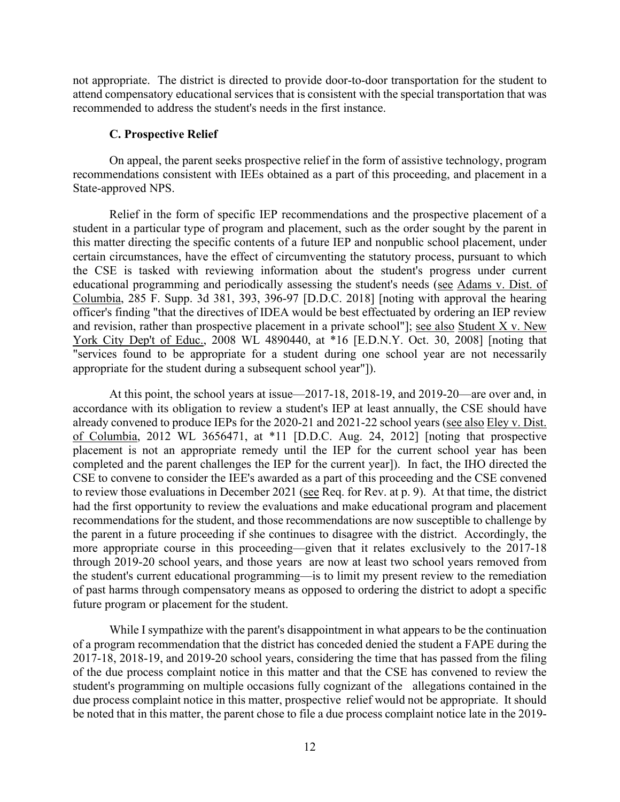not appropriate. The district is directed to provide door-to-door transportation for the student to attend compensatory educational services that is consistent with the special transportation that was recommended to address the student's needs in the first instance.

### **C. Prospective Relief**

On appeal, the parent seeks prospective relief in the form of assistive technology, program recommendations consistent with IEEs obtained as a part of this proceeding, and placement in a State-approved NPS.

 the CSE is tasked with reviewing information about the student's progress under current Relief in the form of specific IEP recommendations and the prospective placement of a student in a particular type of program and placement, such as the order sought by the parent in this matter directing the specific contents of a future IEP and nonpublic school placement, under certain circumstances, have the effect of circumventing the statutory process, pursuant to which educational programming and periodically assessing the student's needs (see Adams v. Dist. of Columbia, 285 F. Supp. 3d 381, 393, 396-97 [D.D.C. 2018] [noting with approval the hearing officer's finding "that the directives of IDEA would be best effectuated by ordering an IEP review and revision, rather than prospective placement in a private school"]; see also Student X v. New York City Dep't of Educ., 2008 WL 4890440, at \*16 [E.D.N.Y. Oct. 30, 2008] [noting that "services found to be appropriate for a student during one school year are not necessarily appropriate for the student during a subsequent school year"]).

 At this point, the school years at issue—2017-18, 2018-19, and 2019-20—are over and, in already convened to produce IEPs for the 2020-21 and 2021-22 school years (see also Eley v. Dist. placement is not an appropriate remedy until the IEP for the current school year has been completed and the parent challenges the IEP for the current year]). In fact, the IHO directed the CSE to convene to consider the IEE's awarded as a part of this proceeding and the CSE convened to review those evaluations in December 2021 (see Req. for Rev. at p. 9). At that time, the district future program or placement for the student. accordance with its obligation to review a student's IEP at least annually, the CSE should have of Columbia, 2012 WL 3656471, at \*11 [D.D.C. Aug. 24, 2012] [noting that prospective had the first opportunity to review the evaluations and make educational program and placement recommendations for the student, and those recommendations are now susceptible to challenge by the parent in a future proceeding if she continues to disagree with the district. Accordingly, the more appropriate course in this proceeding—given that it relates exclusively to the 2017-18 through 2019-20 school years, and those years are now at least two school years removed from the student's current educational programming—is to limit my present review to the remediation of past harms through compensatory means as opposed to ordering the district to adopt a specific

 student's programming on multiple occasions fully cognizant of the allegations contained in the due process complaint notice in this matter, prospective relief would not be appropriate. It should While I sympathize with the parent's disappointment in what appears to be the continuation of a program recommendation that the district has conceded denied the student a FAPE during the 2017-18, 2018-19, and 2019-20 school years, considering the time that has passed from the filing of the due process complaint notice in this matter and that the CSE has convened to review the be noted that in this matter, the parent chose to file a due process complaint notice late in the 2019-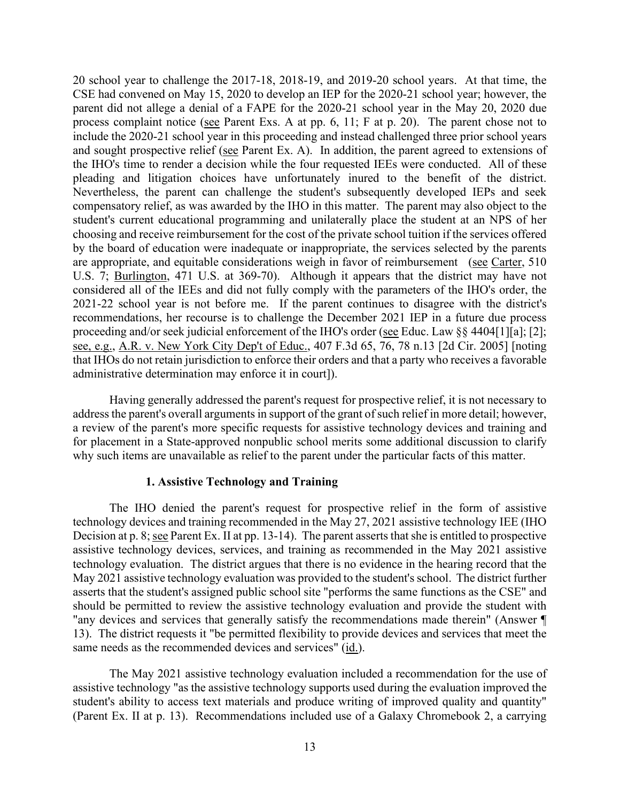and sought prospective relief (see Parent Ex. A). In addition, the parent agreed to extensions of pleading and litigation choices have unfortunately inured to the benefit of the district. are appropriate, and equitable considerations weigh in favor of reimbursement (see Carter, 510) U.S. 7; Burlington, 471 U.S. at 369-70). Although it appears that the district may have not considered all of the IEEs and did not fully comply with the parameters of the IHO's order, the that IHOs do not retain jurisdiction to enforce their orders and that a party who receives a favorable 20 school year to challenge the 2017-18, 2018-19, and 2019-20 school years. At that time, the CSE had convened on May 15, 2020 to develop an IEP for the 2020-21 school year; however, the parent did not allege a denial of a FAPE for the 2020-21 school year in the May 20, 2020 due process complaint notice (see Parent Exs. A at pp. 6, 11; F at p. 20). The parent chose not to include the 2020-21 school year in this proceeding and instead challenged three prior school years the IHO's time to render a decision while the four requested IEEs were conducted. All of these Nevertheless, the parent can challenge the student's subsequently developed IEPs and seek compensatory relief, as was awarded by the IHO in this matter. The parent may also object to the student's current educational programming and unilaterally place the student at an NPS of her choosing and receive reimbursement for the cost of the private school tuition if the services offered by the board of education were inadequate or inappropriate, the services selected by the parents 2021-22 school year is not before me. If the parent continues to disagree with the district's recommendations, her recourse is to challenge the December 2021 IEP in a future due process proceeding and/or seek judicial enforcement of the IHO's order (see Educ. Law §§ 4404[1][a]; [2]; see, e.g., A.R. v. New York City Dep't of Educ., 407 F.3d 65, 76, 78 n.13 [2d Cir. 2005] [noting administrative determination may enforce it in court]).

Having generally addressed the parent's request for prospective relief, it is not necessary to address the parent's overall arguments in support of the grant of such relief in more detail; however, a review of the parent's more specific requests for assistive technology devices and training and for placement in a State-approved nonpublic school merits some additional discussion to clarify why such items are unavailable as relief to the parent under the particular facts of this matter.

### **1. Assistive Technology and Training**

 13). The district requests it "be permitted flexibility to provide devices and services that meet the The IHO denied the parent's request for prospective relief in the form of assistive technology devices and training recommended in the May 27, 2021 assistive technology IEE (IHO Decision at p. 8; see Parent Ex. II at pp. 13-14). The parent asserts that she is entitled to prospective assistive technology devices, services, and training as recommended in the May 2021 assistive technology evaluation. The district argues that there is no evidence in the hearing record that the May 2021 assistive technology evaluation was provided to the student's school. The district further asserts that the student's assigned public school site "performs the same functions as the CSE" and should be permitted to review the assistive technology evaluation and provide the student with "any devices and services that generally satisfy the recommendations made therein" (Answer ¶ same needs as the recommended devices and services" (id.).

The May 2021 assistive technology evaluation included a recommendation for the use of assistive technology "as the assistive technology supports used during the evaluation improved the student's ability to access text materials and produce writing of improved quality and quantity" (Parent Ex. II at p. 13). Recommendations included use of a Galaxy Chromebook 2, a carrying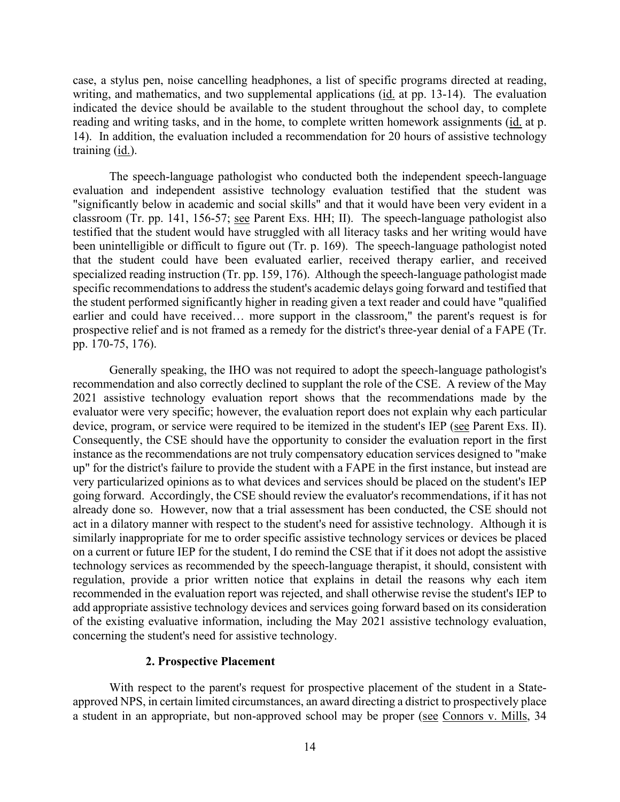writing, and mathematics, and two supplemental applications (id. at pp. 13-14). The evaluation 14). In addition, the evaluation included a recommendation for 20 hours of assistive technology case, a stylus pen, noise cancelling headphones, a list of specific programs directed at reading, indicated the device should be available to the student throughout the school day, to complete reading and writing tasks, and in the home, to complete written homework assignments (id. at p. training (id.).

classroom (Tr. pp. 141, 156-57; see Parent Exs. HH; II). The speech-language pathologist also specialized reading instruction (Tr. pp. 159, 176). Although the speech-language pathologist made prospective relief and is not framed as a remedy for the district's three-year denial of a FAPE (Tr. The speech-language pathologist who conducted both the independent speech-language evaluation and independent assistive technology evaluation testified that the student was "significantly below in academic and social skills" and that it would have been very evident in a testified that the student would have struggled with all literacy tasks and her writing would have been unintelligible or difficult to figure out (Tr. p. 169). The speech-language pathologist noted that the student could have been evaluated earlier, received therapy earlier, and received specific recommendations to address the student's academic delays going forward and testified that the student performed significantly higher in reading given a text reader and could have "qualified earlier and could have received… more support in the classroom," the parent's request is for pp. 170-75, 176).

 recommendation and also correctly declined to supplant the role of the CSE. A review of the May 2021 assistive technology evaluation report shows that the recommendations made by the device, program, or service were required to be itemized in the student's IEP (see Parent Exs. II). very particularized opinions as to what devices and services should be placed on the student's IEP similarly inappropriate for me to order specific assistive technology services or devices be placed on a current or future IEP for the student, I do remind the CSE that if it does not adopt the assistive add appropriate assistive technology devices and services going forward based on its consideration Generally speaking, the IHO was not required to adopt the speech-language pathologist's evaluator were very specific; however, the evaluation report does not explain why each particular Consequently, the CSE should have the opportunity to consider the evaluation report in the first. instance as the recommendations are not truly compensatory education services designed to "make up" for the district's failure to provide the student with a FAPE in the first instance, but instead are going forward. Accordingly, the CSE should review the evaluator's recommendations, if it has not already done so. However, now that a trial assessment has been conducted, the CSE should not act in a dilatory manner with respect to the student's need for assistive technology. Although it is technology services as recommended by the speech-language therapist, it should, consistent with regulation, provide a prior written notice that explains in detail the reasons why each item recommended in the evaluation report was rejected, and shall otherwise revise the student's IEP to of the existing evaluative information, including the May 2021 assistive technology evaluation, concerning the student's need for assistive technology.

### **2. Prospective Placement**

With respect to the parent's request for prospective placement of the student in a Stateapproved NPS, in certain limited circumstances, an award directing a district to prospectively place a student in an appropriate, but non-approved school may be proper (see Connors v. Mills, 34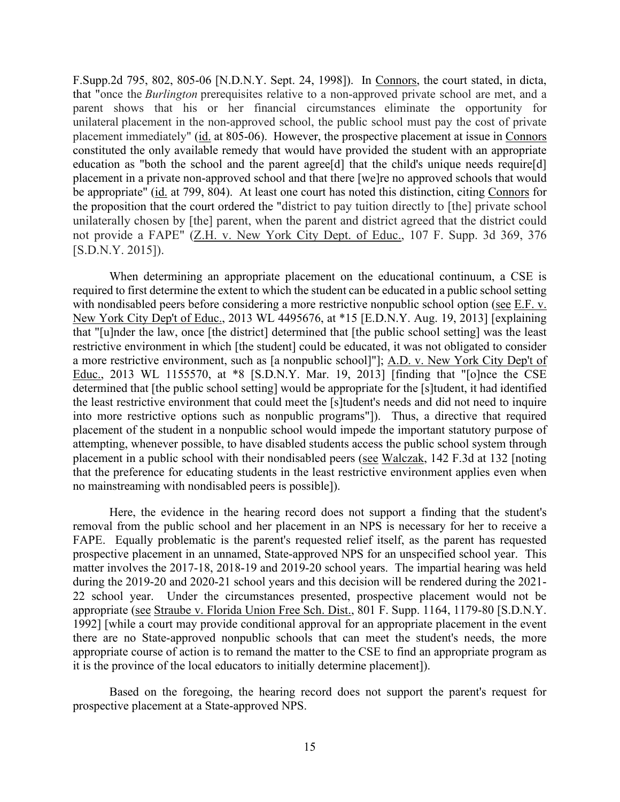that "once the *Burlington* prerequisites relative to a non-approved private school are met, and a placement immediately" (id. at 805-06). However, the prospective placement at issue in Connors education as "both the school and the parent agree[d] that the child's unique needs require[d] unilaterally chosen by [the] parent, when the parent and district agreed that the district could [F.Supp.2d](https://F.Supp.2d) 795, 802, 805-06 [N.D.N.Y. Sept. 24, 1998]). In Connors, the court stated, in dicta, parent shows that his or her financial circumstances eliminate the opportunity for unilateral placement in the non-approved school, the public school must pay the cost of private constituted the only available remedy that would have provided the student with an appropriate placement in a private non-approved school and that there [we]re no approved schools that would be appropriate" (id. at 799, 804). At least one court has noted this distinction, citing Connors for the proposition that the court ordered the "district to pay tuition directly to [the] private school not provide a FAPE" (Z.H. v. New York City Dept. of Educ., 107 F. Supp. 3d 369, 376 [S.D.N.Y. 2015]).

When determining an appropriate placement on the educational continuum, a CSE is required to first determine the extent to which the student can be educated in a public school setting with nondisabled peers before considering a more restrictive nonpublic school option (see E.F. v. New York City Dep't of Educ., 2013 WL 4495676, at \*15 [E.D.N.Y. Aug. 19, 2013] [explaining that "[u]nder the law, once [the district] determined that [the public school setting] was the least restrictive environment in which [the student] could be educated, it was not obligated to consider a more restrictive environment, such as [a nonpublic school]"]; A.D. v. New York City Dep't of Educ., 2013 WL 1155570, at \*8 [S.D.N.Y. Mar. 19, 2013] [finding that "[o]nce the CSE determined that [the public school setting] would be appropriate for the [s]tudent, it had identified the least restrictive environment that could meet the [s]tudent's needs and did not need to inquire into more restrictive options such as nonpublic programs"]). Thus, a directive that required placement of the student in a nonpublic school would impede the important statutory purpose of attempting, whenever possible, to have disabled students access the public school system through placement in a public school with their nondisabled peers (see Walczak, 142 F.3d at 132 [noting that the preference for educating students in the least restrictive environment applies even when no mainstreaming with nondisabled peers is possible]).

 removal from the public school and her placement in an NPS is necessary for her to receive a FAPE. Equally problematic is the parent's requested relief itself, as the parent has requested prospective placement in an unnamed, State-approved NPS for an unspecified school year. This matter involves the 2017-18, 2018-19 and 2019-20 school years. The impartial hearing was held 22 school year. Under the circumstances presented, prospective placement would not be it is the province of the local educators to initially determine placement]). Here, the evidence in the hearing record does not support a finding that the student's during the 2019-20 and 2020-21 school years and this decision will be rendered during the 2021 appropriate (see Straube v. Florida Union Free Sch. Dist., 801 F. Supp. 1164, 1179-80 [S.D.N.Y. 1992] [while a court may provide conditional approval for an appropriate placement in the event there are no State-approved nonpublic schools that can meet the student's needs, the more appropriate course of action is to remand the matter to the CSE to find an appropriate program as

Based on the foregoing, the hearing record does not support the parent's request for prospective placement at a State-approved NPS.